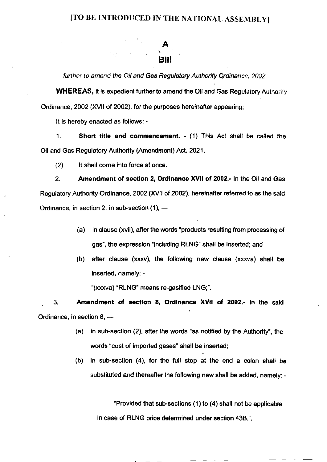## [TO BE INTRODUCED IN THE NATIONAL ASSEMBLY]

## Bill A

further to amend the Oil and Gas Regulatory Authority Ordinance, 2002

WHEREAS, it is expedient further to amend the Oil and Gas Regulatory Authority Ordinance, 2002 (XVll of 2OO2), for the purposes hereinafter appearing;

It is hereby enacted as follows: -

1. Short title and commencement, - (1) This Act shall be called lhe Oil and Gas Regulatory Authority (Amendment) Acl, 2021.

(2) lt shall come into force at once.

2. Amendment of eection 2, Ordinance XVll of 2002.- ln the Oil and Gas Regulatory Authority Ordinance, 2002 (XVll of 2002), hereinafter refened to as the said Ordinance, in section 2, in sub-section (1),  $-$ 

- (a) in clause (xvii), after the words "products resulting from processing of gas", the expression "including RLNG" shall be inserted; and
- (b) after clause  $(xxxv)$ , the following new clause  $(xxxva)$  shall be inserted, namely: -

"(xxxva) "RLNG" means re-gasified LNG;".

3. Amendment of section 8, Ordinance XVII of 2002.- In the said Ordinance, in section 8, -

- (a) in sub-section  $(2)$ , after the words "as notified by the Authority", the words "cost of imported gases" shall be inserted;
- (b) in sub-section  $(4)$ , for the full stop at the end a colon shall be substituted and thereafter the following new shall be added, namely: -

"Provided that sub-sections  $(1)$  to  $(4)$  shall not be applicable in case of RLNG price determined under section 43B.".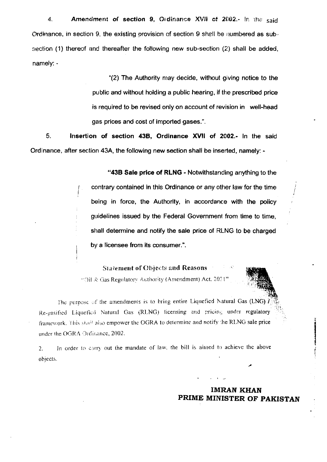Amendment of section 9, Ordinance XVII of 2002.- In the said 4. Ordinance, in section 9, the existing provision of section 9 shall be numbered as subsection (1) thereof and thereafter the following new sub-section (2) shall be added, namely: -

> "(2) The Authority may decide, without giving notice to the public and without holding a public hearing, if the prescribed price is required to be revised only on account of revision in well-head gas prices and cost of imported gases.".

5. Insertion of section 43B, Ordinance XVII of 2002.- In the said Ordinance, after section 43A, the following new section shall be inserted, namely: -

> "43B Sale price of RLNG - Notwithstanding anything to the contrary contained in this Ordinance or any other law for the time being in force, the Authority, in accordance with the policy guidelines issued by the Federal Government from time to time, shall determine and notify the sale price of RLNG to be charged by a licensee from its consumer.".

**Statement of Objects and Reasons** "Oil & Gas Regulatory Authority (Amendment) Act, 2021"

The purpose of the amendments is to bring entire Liquefied Natural Gas (LNG)  $\tilde{l}$ Re-gasified Liquefied Natural Gas (RLNG) licensing and pricing under regulatory framework. This shall also empower the OGRA to determine and notify the RLNG sale price under the OGRA Ordinance, 2002.

In order to carry out the mandate of law, the bill is aimed to achieve the above  $2.$ objects.

> **IMRAN KHAN** PRIME MINISTER OF PAKISTAN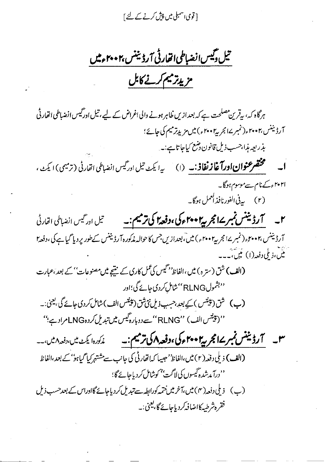[ قوی اسمبلی میں پیش کرنے کے لئے ]

تىل دىيس انضباطى اتفارقى آرڈىننس،٢٠٠٢ءميں

## مزيدتر ييم كرنے كابل

ہرگاہ کہ، بیقرین مصلحت ہے کہ بعدازیں ظاہر ہونے والی اغراض کے لیے، تیل ادرگیس انضباطی اتھار ٹی آرڈیننس،۲۰۰۲ء(نمبر ۱۷ مجربہ ۲۰۰۲ء) میں مزید ترمیم کی جائے؛ بذريعه بذا،حسب ذيل قانون دضع كياجا تا ہے:۔ .<br>**ا۔ سطحقه عنوان اورآغاز نفاذ :۔** (۱) س<sub>دا</sub> یکٹ تیل ا<sub>ور</sub>گیس انضاطی ات<sub>قار</sub>ٹی (ترمیمی) ایکٹ ، ا۲۰۲۱ء کے نام سے موسوم ہوگا۔ (۲) په بې الفورنافذ لعمل ہوگا۔ آرڈیننس،۲۰۰۲ء (نمبر ۱۷ مجر به ۲۰۰۲ء ) میں ٓ،بعداز پں جس کا حوالہ مٰذکورہ آرڈیننس کےطور پر دیا گیا ہے کی ،دفعہ ا میں،و ملی دفعہ(۱) عیں،۔۔۔ (الف) شق (سترہ) میں،الفاظ<sup>ہ دس</sup>یس کی *عمل کاری کے* منتیجے میں مصنوعات' *کے بعد ،عباد*ت ''بشمول RLNG''شامل کردی جائے گی؛اور **(پ)** شق (پینٹس ) کیے بعدِ ،حسِب ذیلِ نئی شق (پینٹس الف) شامل کر دی جائے گی ،بیحیٰ :۔ '' (پینٹس الف ) ''RLNG '' سے دوبارہ گیس میں تبدیل کردہLNG مراد ہے؛'' **س ہے۔ اگر ڈیننس نمبر سےانجر پی<sup>4</sup> ۲۰۰ ءکی ،دفعہ اگی ترمیم :۔** میڈیورہائیٹ میں،دفعہ امیں ۔۔ (الف) ذيلى دفعه (٢) ميں،الفاظ' صبيبا كه اتھارٹی كی جانب سے مشتہر كيا گياہو' كے بعد،الفاظ ''درآ مدشدہ گیسوں کی لاگت' *'کوش*امل کردیاجائے گا؛ (ب) ذیلی دفعہ( ۴) میں،آخر میں ختمہ کورابطہ سے تبدیل کر دیاجائے گااوراس کے بعد حسب ذیل فقرہ شرطبہ کااضافہ کر دیاجائے گا، یعنی ۔۔